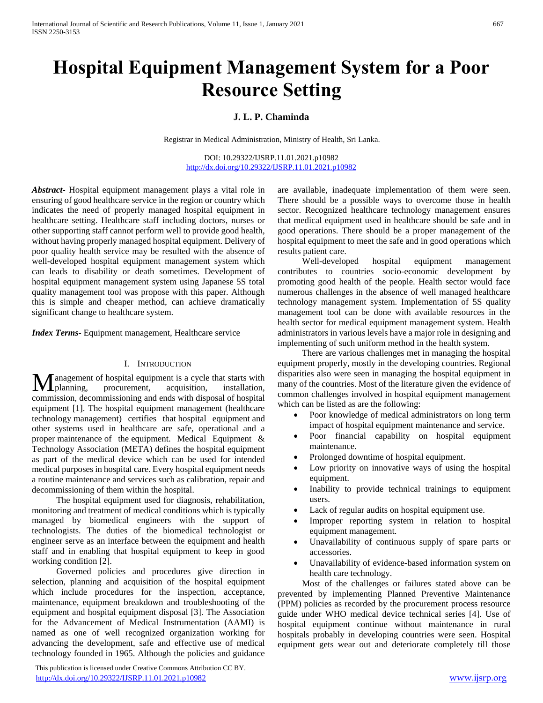# **Hospital Equipment Management System for a Poor Resource Setting**

## **J. L. P. Chaminda**

Registrar in Medical Administration, Ministry of Health, Sri Lanka.

DOI: 10.29322/IJSRP.11.01.2021.p10982 <http://dx.doi.org/10.29322/IJSRP.11.01.2021.p10982>

*Abstract***-** Hospital equipment management plays a vital role in ensuring of good healthcare service in the region or country which indicates the need of properly managed hospital equipment in healthcare setting. Healthcare staff including doctors, nurses or other supporting staff cannot perform well to provide good health, without having properly managed hospital equipment. Delivery of poor quality health service may be resulted with the absence of well-developed hospital equipment management system which can leads to disability or death sometimes. Development of hospital equipment management system using Japanese 5S total quality management tool was propose with this paper. Although this is simple and cheaper method, can achieve dramatically significant change to healthcare system.

*Index Terms*- Equipment management, Healthcare service

#### I. INTRODUCTION

anagement of hospital equipment is a cycle that starts with procurement, acquisition, installation, commission, decommissioning and ends with disposal of hospital equipment [1]. The hospital equipment management (healthcare technology management) certifies that hospital equipment and other systems used in healthcare are safe, operational and a proper maintenance of the equipment. Medical Equipment & Technology Association (META) defines the hospital equipment as part of the medical device which can be used for intended medical purposes in hospital care. Every hospital equipment needs a routine maintenance and services such as calibration, repair and decommissioning of them within the hospital. **IV** I planning,

 The hospital equipment used for diagnosis, rehabilitation, monitoring and treatment of medical conditions which is typically managed by biomedical engineers with the support of technologists. The duties of the biomedical technologist or engineer serve as an interface between the equipment and health staff and in enabling that hospital equipment to keep in good working condition [2].

 Governed policies and procedures give direction in selection, planning and acquisition of the hospital equipment which include procedures for the inspection, acceptance, maintenance, equipment breakdown and troubleshooting of the equipment and hospital equipment disposal [3]. The Association for the Advancement of Medical Instrumentation (AAMI) is named as one of well recognized organization working for advancing the development, safe and effective use of medical technology founded in 1965. Although the policies and guidance

 This publication is licensed under Creative Commons Attribution CC BY. <http://dx.doi.org/10.29322/IJSRP.11.01.2021.p10982> [www.ijsrp.org](http://ijsrp.org/)

are available, inadequate implementation of them were seen. There should be a possible ways to overcome those in health sector. Recognized healthcare technology management ensures that medical equipment used in healthcare should be safe and in good operations. There should be a proper management of the hospital equipment to meet the safe and in good operations which results patient care.

 Well-developed hospital equipment management contributes to countries socio-economic development by promoting good health of the people. Health sector would face numerous challenges in the absence of well managed healthcare technology management system. Implementation of 5S quality management tool can be done with available resources in the health sector for medical equipment management system. Health administrators in various levels have a major role in designing and implementing of such uniform method in the health system.

 There are various challenges met in managing the hospital equipment properly, mostly in the developing countries. Regional disparities also were seen in managing the hospital equipment in many of the countries. Most of the literature given the evidence of common challenges involved in hospital equipment management which can be listed as are the following:

- Poor knowledge of medical administrators on long term impact of hospital equipment maintenance and service.
- Poor financial capability on hospital equipment maintenance.
- Prolonged downtime of hospital equipment.
- Low priority on innovative ways of using the hospital equipment.
- Inability to provide technical trainings to equipment users.
- Lack of regular audits on hospital equipment use.
- Improper reporting system in relation to hospital equipment management.
- Unavailability of continuous supply of spare parts or accessories.
- Unavailability of evidence-based information system on health care technology.

 Most of the challenges or failures stated above can be prevented by implementing Planned Preventive Maintenance (PPM) policies as recorded by the procurement process resource guide under WHO medical device technical series [4]. Use of hospital equipment continue without maintenance in rural hospitals probably in developing countries were seen. Hospital equipment gets wear out and deteriorate completely till those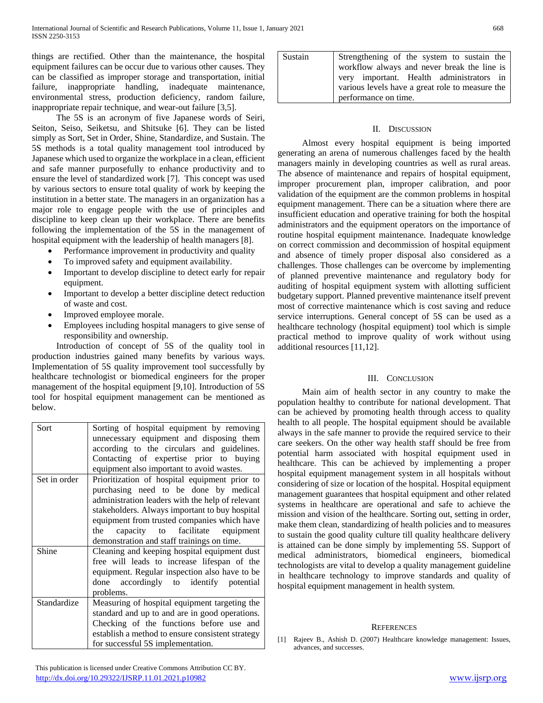things are rectified. Other than the maintenance, the hospital equipment failures can be occur due to various other causes. They can be classified as improper storage and transportation, initial failure, inappropriate handling, inadequate maintenance, environmental stress, production deficiency, random failure, inappropriate repair technique, and wear-out failure [3,5].

 The 5S is an acronym of five Japanese words of Seiri, Seiton, Seiso, Seiketsu, and Shitsuke [6]. They can be listed simply as Sort, Set in Order, Shine, Standardize, and Sustain. The 5S methods is a total quality management tool introduced by Japanese which used to organize the workplace in a clean, efficient and safe manner purposefully to enhance productivity and to ensure the level of standardized work [7]. This concept was used by various sectors to ensure total quality of work by keeping the institution in a better state. The managers in an organization has a major role to engage people with the use of principles and discipline to keep clean up their workplace. There are benefits following the implementation of the 5S in the management of hospital equipment with the leadership of health managers [8].

- Performance improvement in productivity and quality
- To improved safety and equipment availability.
- Important to develop discipline to detect early for repair equipment.
- Important to develop a better discipline detect reduction of waste and cost.
- Improved employee morale.
- Employees including hospital managers to give sense of responsibility and ownership.

 Introduction of concept of 5S of the quality tool in production industries gained many benefits by various ways. Implementation of 5S quality improvement tool successfully by healthcare technologist or biomedical engineers for the proper management of the hospital equipment [9,10]. Introduction of 5S tool for hospital equipment management can be mentioned as below.

| Sort         | Sorting of hospital equipment by removing<br>unnecessary equipment and disposing them<br>according to the circulars and guidelines.<br>Contacting of expertise prior to buying<br>equipment also important to avoid wastes.                                                                                                          |
|--------------|--------------------------------------------------------------------------------------------------------------------------------------------------------------------------------------------------------------------------------------------------------------------------------------------------------------------------------------|
| Set in order | Prioritization of hospital equipment prior to<br>purchasing need to be done by medical<br>administration leaders with the help of relevant<br>stakeholders. Always important to buy hospital<br>equipment from trusted companies which have<br>capacity to facilitate equipment<br>the<br>demonstration and staff trainings on time. |
| Shine        | Cleaning and keeping hospital equipment dust<br>free will leads to increase lifespan of the<br>equipment. Regular inspection also have to be<br>done accordingly to identify potential<br>problems.                                                                                                                                  |
| Standardize  | Measuring of hospital equipment targeting the<br>standard and up to and are in good operations.<br>Checking of the functions before use and<br>establish a method to ensure consistent strategy<br>for successful 5S implementation.                                                                                                 |

Sustain Strengthening of the system to sustain the workflow always and never break the line is very important. Health administrators in various levels have a great role to measure the performance on time.

#### II. DISCUSSION

 Almost every hospital equipment is being imported generating an arena of numerous challenges faced by the health managers mainly in developing countries as well as rural areas. The absence of maintenance and repairs of hospital equipment, improper procurement plan, improper calibration, and poor validation of the equipment are the common problems in hospital equipment management. There can be a situation where there are insufficient education and operative training for both the hospital administrators and the equipment operators on the importance of routine hospital equipment maintenance. Inadequate knowledge on correct commission and decommission of hospital equipment and absence of timely proper disposal also considered as a challenges. Those challenges can be overcome by implementing of planned preventive maintenance and regulatory body for auditing of hospital equipment system with allotting sufficient budgetary support. Planned preventive maintenance itself prevent most of corrective maintenance which is cost saving and reduce service interruptions. General concept of 5S can be used as a healthcare technology (hospital equipment) tool which is simple practical method to improve quality of work without using additional resources [11,12].

### III. CONCLUSION

 Main aim of health sector in any country to make the population healthy to contribute for national development. That can be achieved by promoting health through access to quality health to all people. The hospital equipment should be available always in the safe manner to provide the required service to their care seekers. On the other way health staff should be free from potential harm associated with hospital equipment used in healthcare. This can be achieved by implementing a proper hospital equipment management system in all hospitals without considering of size or location of the hospital. Hospital equipment management guarantees that hospital equipment and other related systems in healthcare are operational and safe to achieve the mission and vision of the healthcare. Sorting out, setting in order, make them clean, standardizing of health policies and to measures to sustain the good quality culture till quality healthcare delivery is attained can be done simply by implementing 5S. Support of medical administrators, biomedical engineers, biomedical technologists are vital to develop a quality management guideline in healthcare technology to improve standards and quality of hospital equipment management in health system.

#### **REFERENCES**

[1] Rajeev B., Ashish D. (2007) Healthcare knowledge management: Issues, advances, and successes.